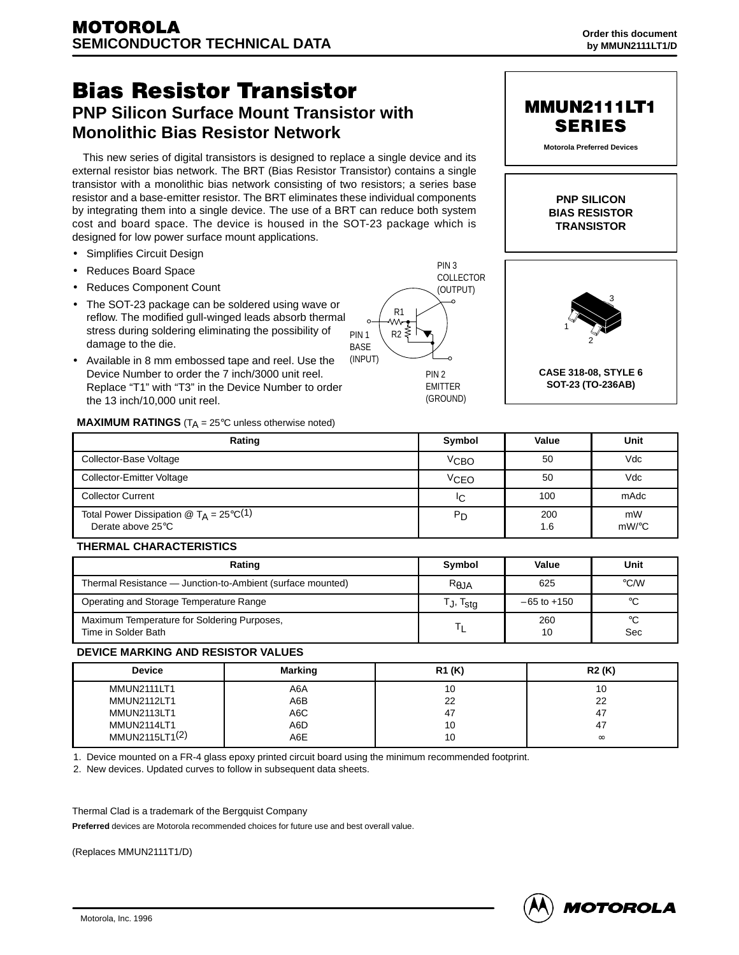# **Bias Resistor Transistor PNP Silicon Surface Mount Transistor with Monolithic Bias Resistor Network**

This new series of digital transistors is designed to replace a single device and its external resistor bias network. The BRT (Bias Resistor Transistor) contains a single transistor with a monolithic bias network consisting of two resistors; a series base resistor and a base-emitter resistor. The BRT eliminates these individual components by integrating them into a single device. The use of a BRT can reduce both system cost and board space. The device is housed in the SOT-23 package which is designed for low power surface mount applications.

- Simplifies Circuit Design
- Reduces Board Space
- Reduces Component Count
- The SOT-23 package can be soldered using wave or reflow. The modified gull-winged leads absorb thermal stress during soldering eliminating the possibility of damage to the die.
- Available in 8 mm embossed tape and reel. Use the Device Number to order the 7 inch/3000 unit reel. Replace "T1" with "T3" in the Device Number to order the 13 inch/10,000 unit reel.

## **MAXIMUM RATINGS** ( $T_A = 25^\circ$ C unless otherwise noted)

| Rating                                                                                              | Symbol         | Value      | Unit           |
|-----------------------------------------------------------------------------------------------------|----------------|------------|----------------|
| Collector-Base Voltage                                                                              | ∨сво           | 50         | Vdc            |
| Collector-Emitter Voltage                                                                           | VCEO           | 50         | Vdc            |
| <b>Collector Current</b>                                                                            | IС             | 100        | mAdc           |
| Total Power Dissipation $\textcircled{a}$ T <sub>A</sub> = 25°C <sup>(1)</sup><br>Derate above 25°C | P <sub>D</sub> | 200<br>1.6 | mW<br>$mW$ /°C |

#### **THERMAL CHARACTERISTICS**

| Rating                                                             | Symbol                | Value           | Unit               |
|--------------------------------------------------------------------|-----------------------|-----------------|--------------------|
| Thermal Resistance — Junction-to-Ambient (surface mounted)         | $R_{\theta$ JA        | 625             | $\rm ^{\circ}$ C/W |
| Operating and Storage Temperature Range                            | T.J, T <sub>Stg</sub> | $-65$ to $+150$ | °C                 |
| Maximum Temperature for Soldering Purposes,<br>Time in Solder Bath |                       | 260<br>10       | °C<br>Sec          |

#### **DEVICE MARKING AND RESISTOR VALUES**

| <b>Device</b>              | <b>Marking</b> | R1 (K) | <b>R2 (K)</b> |
|----------------------------|----------------|--------|---------------|
| MMUN2111LT1                | A6A            | 10     | 10            |
| <b>MMUN2112LT1</b>         | A6B            | 22     | 22            |
| <b>MMUN2113LT1</b>         | A6C            | 47     | 47            |
| MMUN2114LT1                | A6D            | 10     | 47            |
| MMUN2115LT1 <sup>(2)</sup> | A6E            | 10     | $\infty$      |

1. Device mounted on a FR-4 glass epoxy printed circuit board using the minimum recommended footprint.

2. New devices. Updated curves to follow in subsequent data sheets.

Thermal Clad is a trademark of the Bergquist Company **Preferred** devices are Motorola recommended choices for future use and best overall value.

(Replaces MMUN2111T1/D)

COLLECTOR (OUTPUT) R1 W۳  $R2 \leq$ PIN 1 BASE (INPUT) PIN 2

EMITTER (GROUND)

PIN 3



**MMUN2111LT1 SERIES** 

**Motorola Preferred Devices**

**PNP SILICON BIAS RESISTOR**

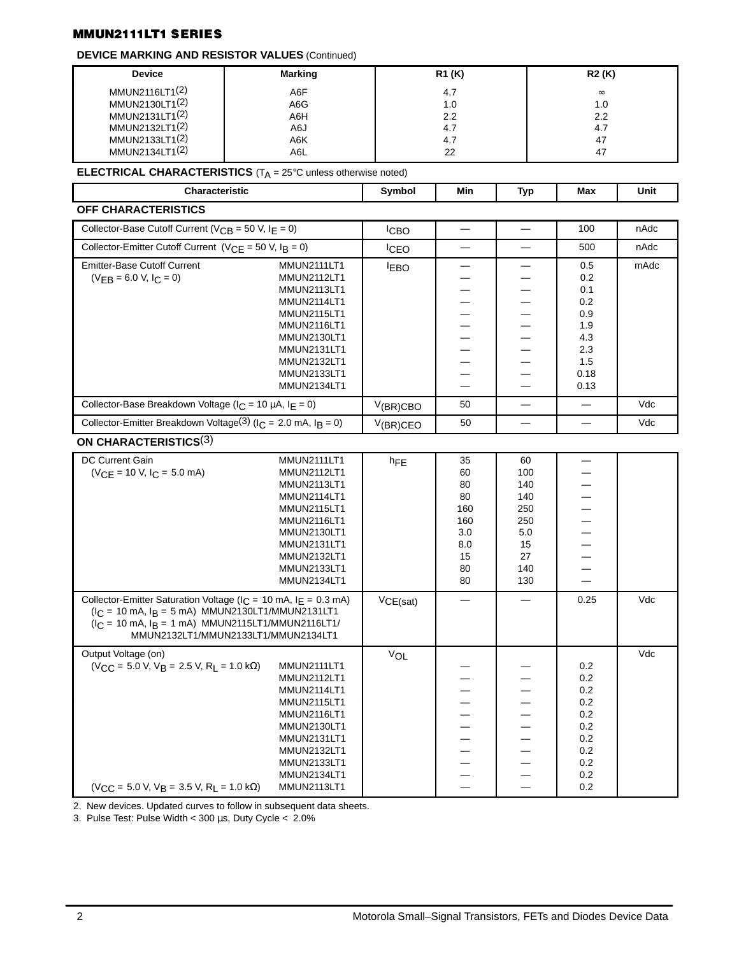### MMUN2111LT1 SERIES

### **DEVICE MARKING AND RESISTOR VALUES** (Continued)

| <b>Device</b>              | <b>Marking</b> | R1 (K) | <b>R2 (K)</b> |
|----------------------------|----------------|--------|---------------|
| MMUN2116LT1 <sup>(2)</sup> | A6F            | 4.7    | $\infty$      |
| MMUN2130LT1 <sup>(2)</sup> | A6G            | 1.0    | 1.0           |
| MMUN2131LT1 <sup>(2)</sup> | A6H            | 2.2    | 2.2           |
| MMUN2132LT1 <sup>(2)</sup> | L∂A            | 4.7    | 4.7           |
| MMUN2133LT1 <sup>(2)</sup> | A6K            | 4.7    | 47            |
| MMUN2134LT1 <sup>(2)</sup> | A6L            | 22     |               |

**ELECTRICAL CHARACTERISTICS** (T. = 25°C unless otherwise noted)

| Characteristic                                                                                                                                                                                                                                              |                                                                                                                                                                                        | Symbol        | Min                                                                | Typ                                                                    | Max                                                                         | Unit |
|-------------------------------------------------------------------------------------------------------------------------------------------------------------------------------------------------------------------------------------------------------------|----------------------------------------------------------------------------------------------------------------------------------------------------------------------------------------|---------------|--------------------------------------------------------------------|------------------------------------------------------------------------|-----------------------------------------------------------------------------|------|
| OFF CHARACTERISTICS                                                                                                                                                                                                                                         |                                                                                                                                                                                        |               |                                                                    |                                                                        |                                                                             |      |
| Collector-Base Cutoff Current ( $VCB = 50$ V, I $E = 0$ )                                                                                                                                                                                                   |                                                                                                                                                                                        | <b>ICBO</b>   |                                                                    |                                                                        | 100                                                                         | nAdc |
| Collector-Emitter Cutoff Current ( $VCE = 50 V$ , I <sub>B</sub> = 0)                                                                                                                                                                                       |                                                                                                                                                                                        | <b>ICEO</b>   |                                                                    |                                                                        | 500                                                                         | nAdc |
| <b>Emitter-Base Cutoff Current</b><br>$(VEB = 6.0 V, I_C = 0)$                                                                                                                                                                                              | MMUN2111LT1<br>MMUN2112LT1<br>MMUN2113LT1<br>MMUN2114LT1<br><b>MMUN2115LT1</b><br>MMUN2116LT1<br>MMUN2130LT1<br>MMUN2131LT1<br><b>MMUN2132LT1</b><br><b>MMUN2133LT1</b><br>MMUN2134LT1 | <b>IEBO</b>   |                                                                    |                                                                        | 0.5<br>0.2<br>0.1<br>0.2<br>0.9<br>1.9<br>4.3<br>2.3<br>1.5<br>0.18<br>0.13 | mAdc |
|                                                                                                                                                                                                                                                             | Collector-Base Breakdown Voltage ( $I_C = 10 \mu A$ , $I_E = 0$ )                                                                                                                      |               | 50                                                                 |                                                                        |                                                                             | Vdc  |
| Collector-Emitter Breakdown Voltage <sup>(3)</sup> ( $I_C = 2.0$ mA, $I_B = 0$ )                                                                                                                                                                            |                                                                                                                                                                                        | $V_{(BR)CEO}$ | 50                                                                 |                                                                        |                                                                             | Vdc  |
| <b>ON CHARACTERISTICS(3)</b>                                                                                                                                                                                                                                |                                                                                                                                                                                        |               |                                                                    |                                                                        |                                                                             |      |
| <b>DC Current Gain</b><br>$(VCE = 10 V, I_C = 5.0 mA)$                                                                                                                                                                                                      | MMUN2111LT1<br>MMUN2112LT1<br>MMUN2113LT1<br>MMUN2114LT1<br><b>MMUN2115LT1</b><br>MMUN2116LT1<br>MMUN2130LT1<br>MMUN2131LT1<br><b>MMUN2132LT1</b><br>MMUN2133LT1<br>MMUN2134LT1        | hFE           | 35<br>60<br>80<br>80<br>160<br>160<br>3.0<br>8.0<br>15<br>80<br>80 | 60<br>100<br>140<br>140<br>250<br>250<br>5.0<br>15<br>27<br>140<br>130 | —<br>—                                                                      |      |
| Collector-Emitter Saturation Voltage ( $I_C = 10$ mA, $I_E = 0.3$ mA)<br>$(I_C = 10 \text{ mA}, I_B = 5 \text{ mA})$ MMUN2130LT1/MMUN2131LT1<br>$(I_C = 10 \text{ mA}, I_B = 1 \text{ mA})$ MMUN2115LT1/MMUN2116LT1/<br>MMUN2132LT1/MMUN2133LT1/MMUN2134LT1 |                                                                                                                                                                                        | VCE(sat)      |                                                                    |                                                                        | 0.25                                                                        | Vdc  |
| Output Voltage (on)<br>$(V_{CC} = 5.0 V, V_B = 2.5 V, R_L = 1.0 k\Omega)$<br>$(V_{\text{CC}} = 5.0 \text{ V}, V_{\text{B}} = 3.5 \text{ V}, R_{\text{I}} = 1.0 \text{ k}\Omega)$                                                                            | MMUN2111LT1<br>MMUN2112LT1<br>MMUN2114LT1<br>MMUN2115LT1<br>MMUN2116LT1<br>MMUN2130LT1<br>MMUN2131LT1<br><b>MMUN2132LT1</b><br>MMUN2133LT1<br>MMUN2134LT1<br>MMUN2113LT1               | VOL           |                                                                    | $\frac{1}{1}$<br>$\frac{1}{1}$                                         | 0.2<br>0.2<br>0.2<br>0.2<br>0.2<br>0.2<br>0.2<br>0.2<br>0.2<br>0.2<br>0.2   | Vdc  |

2. New devices. Updated curves to follow in subsequent data sheets.

3. Pulse Test: Pulse Width <  $300 \,\mu s$ , Duty Cycle <  $2.0\%$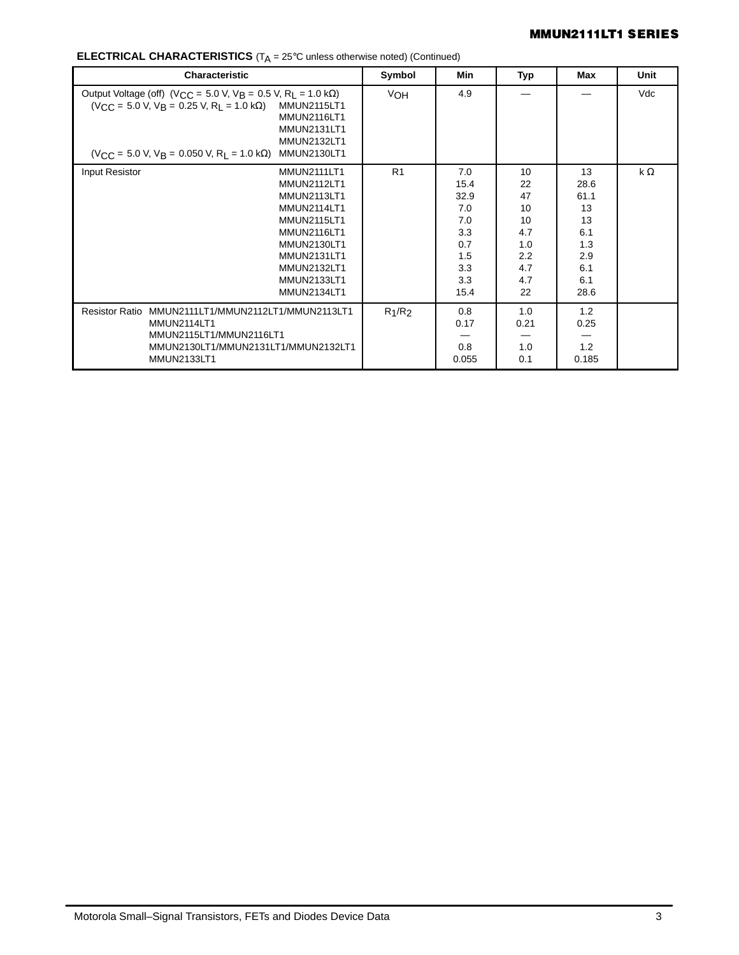**ELECTRICAL CHARACTERISTICS** (T<sub>A</sub> = 25°C unless otherwise noted) (Continued)

| Characteristic                                                                                                                                                                                                                                                                                                                                                                                     | Symbol          | Min                                                                          | <b>Typ</b>                                                          | Max                                                                       | <b>Unit</b> |
|----------------------------------------------------------------------------------------------------------------------------------------------------------------------------------------------------------------------------------------------------------------------------------------------------------------------------------------------------------------------------------------------------|-----------------|------------------------------------------------------------------------------|---------------------------------------------------------------------|---------------------------------------------------------------------------|-------------|
| Output Voltage (off) (V <sub>CC</sub> = 5.0 V, V <sub>B</sub> = 0.5 V, R <sub>L</sub> = 1.0 kΩ)<br>$(V_{\text{CC}} = 5.0 \text{ V}, V_{\text{B}} = 0.25 \text{ V}, R_{\text{L}} = 1.0 \text{ k}\Omega)$<br>MMUN2115LT1<br>MMUN2116LT1<br>MMUN2131LT1<br><b>MMUN2132LT1</b><br>$(V_{\text{CC}} = 5.0 \text{ V}, V_{\text{B}} = 0.050 \text{ V}, R_{\text{L}} = 1.0 \text{ k}\Omega)$<br>MMUN2130LT1 | V <sub>OH</sub> | 4.9                                                                          |                                                                     |                                                                           | Vdc         |
| Input Resistor<br>MMUN2111LT1<br><b>MMUN2112LT1</b><br><b>MMUN2113LT1</b><br>MMUN2114LT1<br><b>MMUN2115LT1</b><br>MMUN2116LT1<br><b>MMUN2130LT1</b><br><b>MMUN2131LT1</b><br><b>MMUN2132LT1</b><br><b>MMUN2133LT1</b><br>MMUN2134LT1                                                                                                                                                               | R <sub>1</sub>  | 7.0<br>15.4<br>32.9<br>7.0<br>7.0<br>3.3<br>0.7<br>1.5<br>3.3<br>3.3<br>15.4 | 10<br>22<br>47<br>10<br>10<br>4.7<br>1.0<br>2.2<br>4.7<br>4.7<br>22 | 13<br>28.6<br>61.1<br>13<br>13<br>6.1<br>1.3<br>2.9<br>6.1<br>6.1<br>28.6 | $k\Omega$   |
| <b>Resistor Ratio</b><br>MMUN2111LT1/MMUN2112LT1/MMUN2113LT1<br>MMUN2114LT1<br>MMUN2115LT1/MMUN2116LT1<br>MMUN2130LT1/MMUN2131LT1/MMUN2132LT1<br><b>MMUN2133LT1</b>                                                                                                                                                                                                                                | $R_1/R_2$       | 0.8<br>0.17<br>0.8<br>0.055                                                  | 1.0<br>0.21<br>1.0<br>0.1                                           | 1.2<br>0.25<br>1.2<br>0.185                                               |             |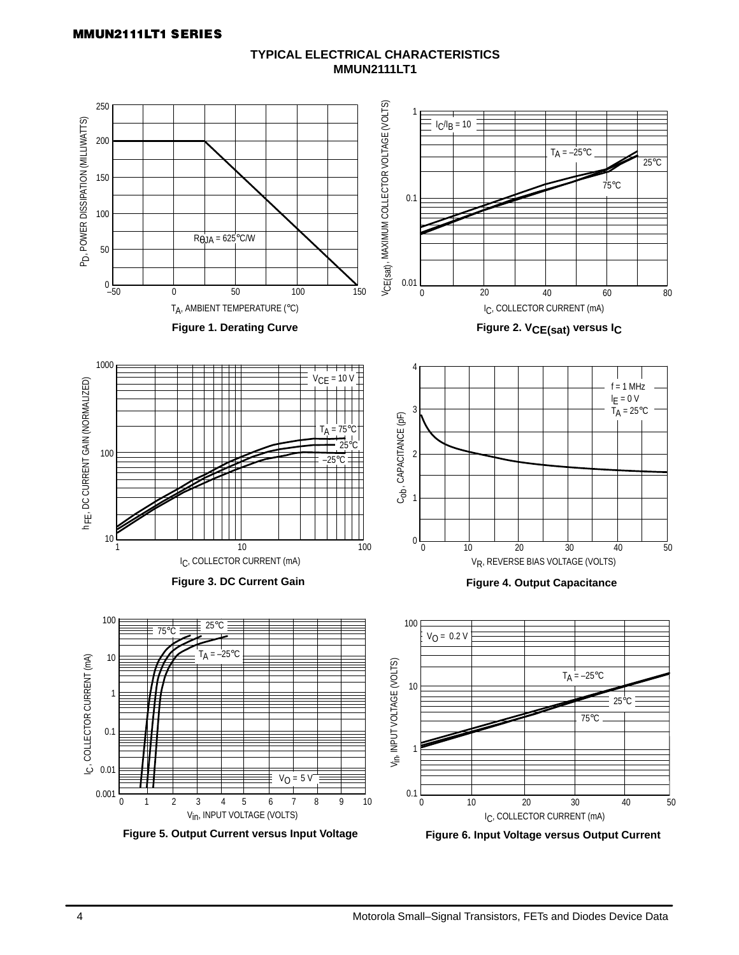

### **TYPICAL ELECTRICAL CHARACTERISTICS MMUN2111LT1**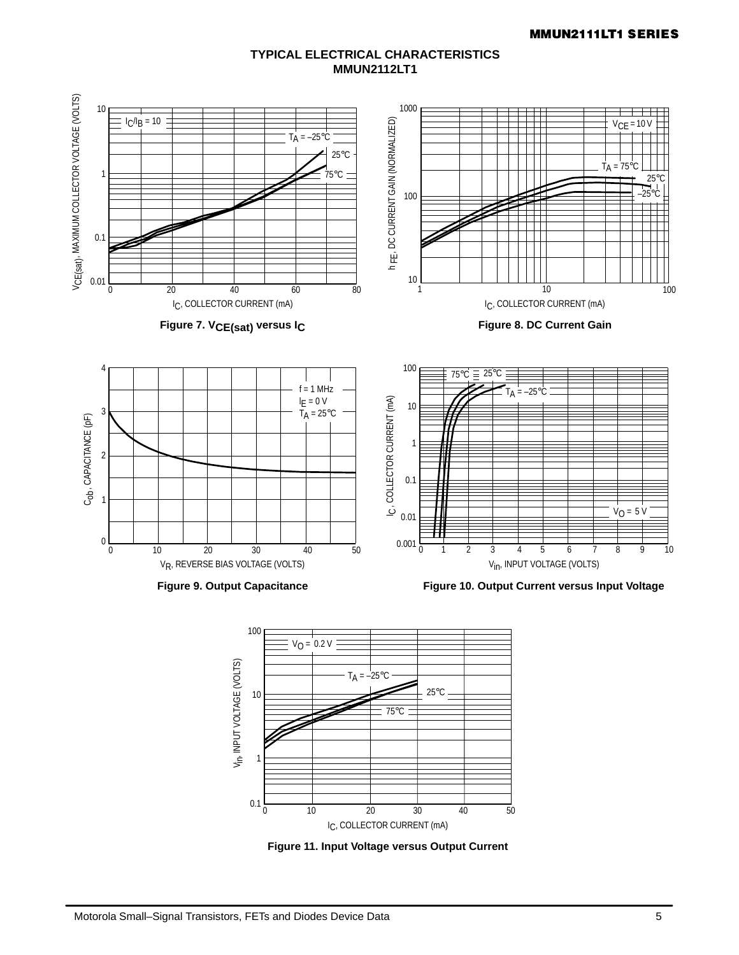## **TYPICAL ELECTRICAL CHARACTERISTICS MMUN2112LT1**





**Figure 11. Input Voltage versus Output Current**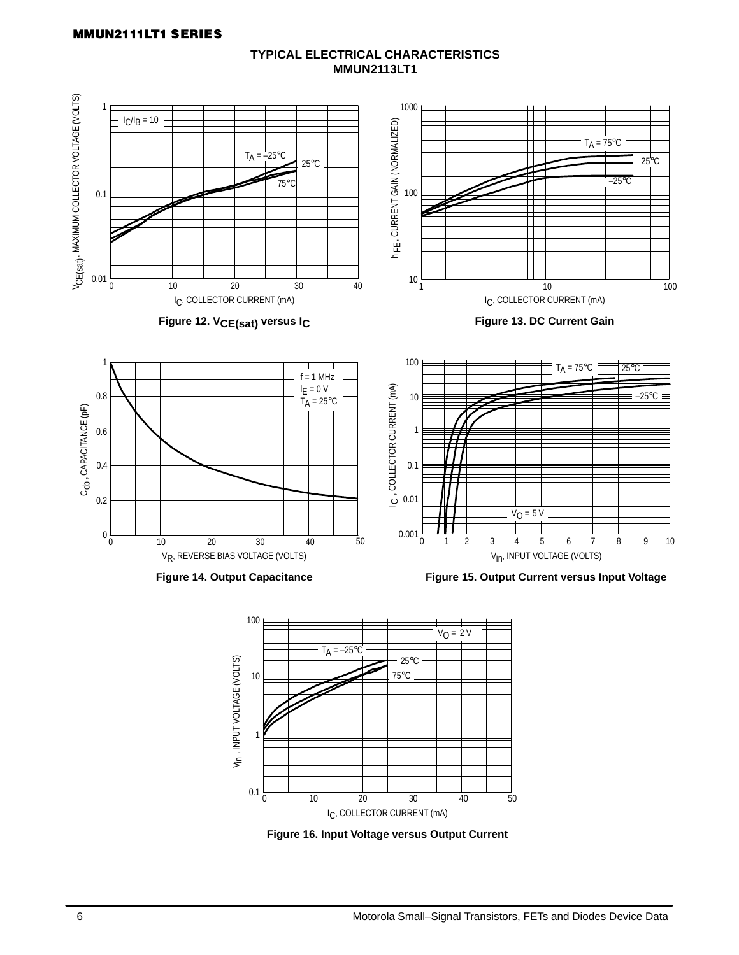### **TYPICAL ELECTRICAL CHARACTERISTICS MMUN2113LT1**



**Figure 14. Output Capacitance**

**Figure 15. Output Current versus Input Voltage**



**Figure 16. Input Voltage versus Output Current**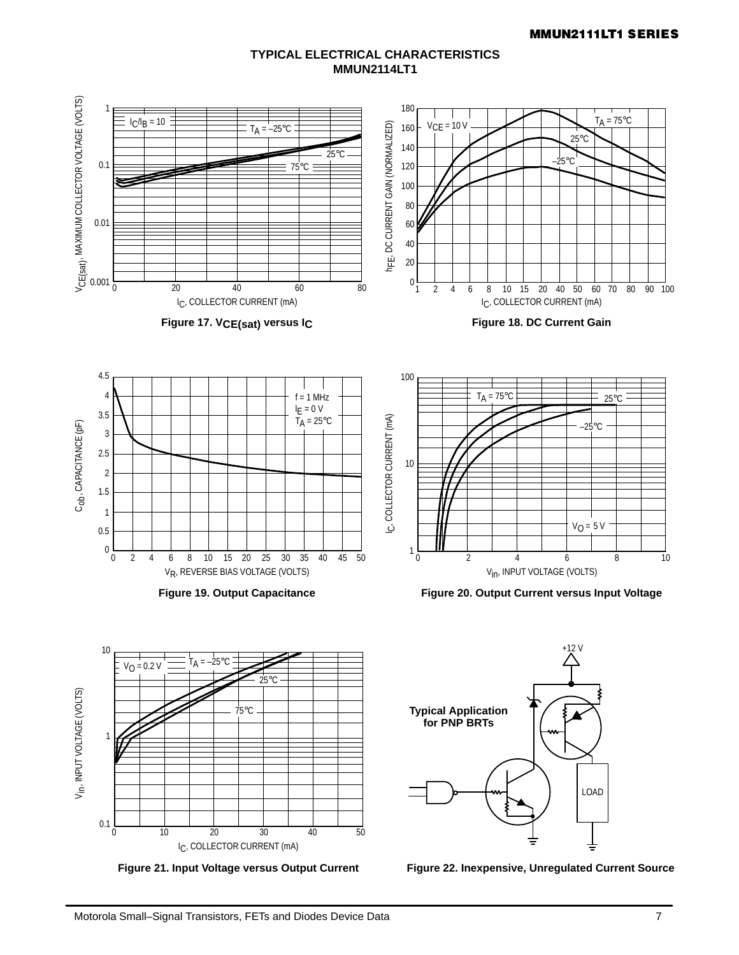### **TYPICAL ELECTRICAL CHARACTERISTICS MMUN2114LT1**



**Figure 21. Input Voltage versus Output Current**

**Figure 22. Inexpensive, Unregulated Current Source**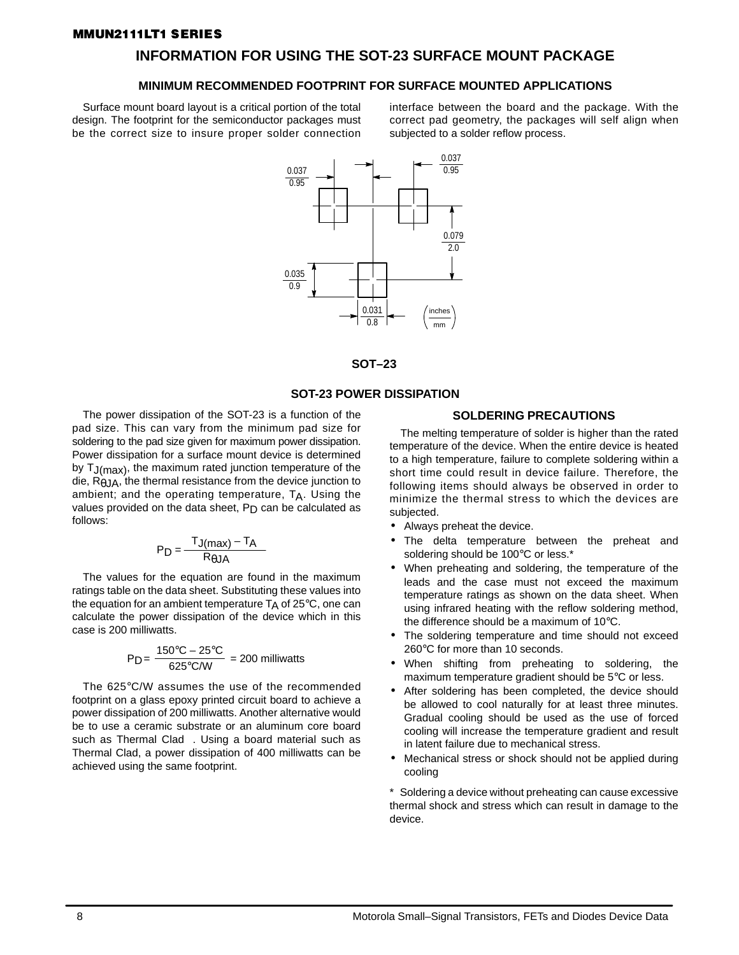### **INFORMATION FOR USING THE SOT-23 SURFACE MOUNT PACKAGE**

#### **MINIMUM RECOMMENDED FOOTPRINT FOR SURFACE MOUNTED APPLICATIONS**

Surface mount board layout is a critical portion of the total design. The footprint for the semiconductor packages must be the correct size to insure proper solder connection interface between the board and the package. With the correct pad geometry, the packages will self align when subjected to a solder reflow process.



**SOT–23**

#### **SOT-23 POWER DISSIPATION**

The power dissipation of the SOT-23 is a function of the pad size. This can vary from the minimum pad size for soldering to the pad size given for maximum power dissipation. Power dissipation for a surface mount device is determined by  $T_{J(max)}$ , the maximum rated junction temperature of the die,  $\overline{R}_{\theta J}$ , the thermal resistance from the device junction to ambient; and the operating temperature, TA. Using the values provided on the data sheet,  $P_D$  can be calculated as follows:

$$
P_D = \frac{T_{J(max)} - T_A}{R_{\theta J A}}
$$

The values for the equation are found in the maximum ratings table on the data sheet. Substituting these values into the equation for an ambient temperature  $T_A$  of 25 $\degree$ C, one can calculate the power dissipation of the device which in this case is 200 milliwatts.

$$
P_D = \frac{150\degree C - 25\degree C}{625\degree C/W} = 200 \text{ milliwatts}
$$

The 625°C/W assumes the use of the recommended footprint on a glass epoxy printed circuit board to achieve a power dissipation of 200 milliwatts. Another alternative would be to use a ceramic substrate or an aluminum core board such as Thermal Clad™. Using a board material such as Thermal Clad, a power dissipation of 400 milliwatts can be achieved using the same footprint.

#### **SOLDERING PRECAUTIONS**

The melting temperature of solder is higher than the rated temperature of the device. When the entire device is heated to a high temperature, failure to complete soldering within a short time could result in device failure. Therefore, the following items should always be observed in order to minimize the thermal stress to which the devices are subjected.

- Always preheat the device.
- The delta temperature between the preheat and soldering should be 100°C or less.\*
- When preheating and soldering, the temperature of the leads and the case must not exceed the maximum temperature ratings as shown on the data sheet. When using infrared heating with the reflow soldering method, the difference should be a maximum of 10°C.
- The soldering temperature and time should not exceed 260°C for more than 10 seconds.
- When shifting from preheating to soldering, the maximum temperature gradient should be 5°C or less.
- After soldering has been completed, the device should be allowed to cool naturally for at least three minutes. Gradual cooling should be used as the use of forced cooling will increase the temperature gradient and result in latent failure due to mechanical stress.
- Mechanical stress or shock should not be applied during cooling

\* Soldering a device without preheating can cause excessive thermal shock and stress which can result in damage to the device.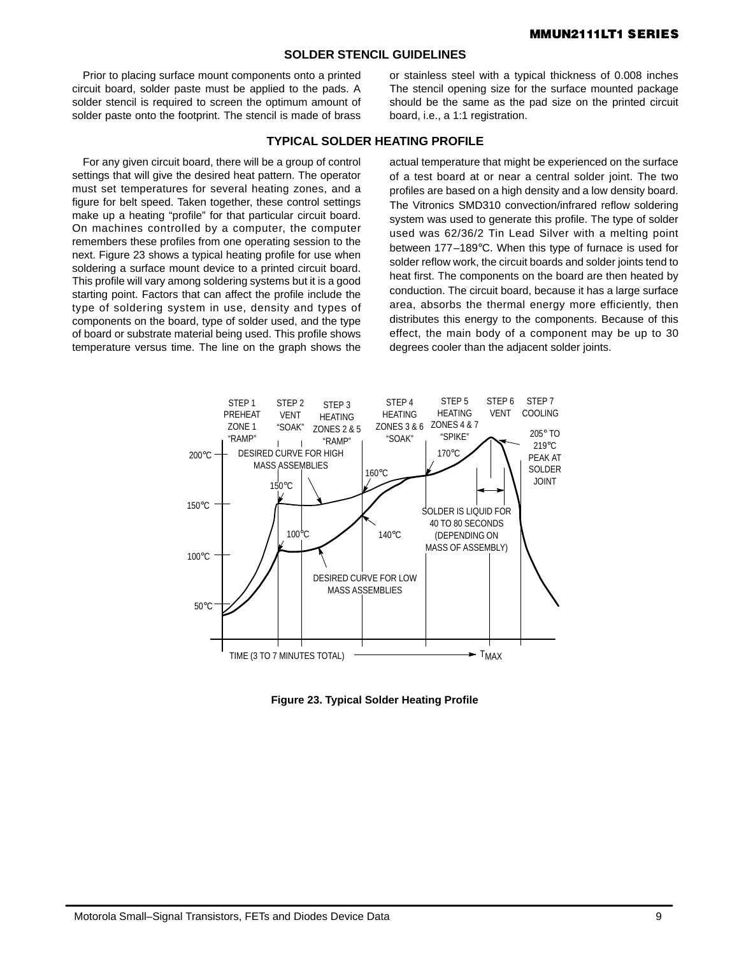#### **SOLDER STENCIL GUIDELINES**

Prior to placing surface mount components onto a printed circuit board, solder paste must be applied to the pads. A solder stencil is required to screen the optimum amount of solder paste onto the footprint. The stencil is made of brass or stainless steel with a typical thickness of 0.008 inches The stencil opening size for the surface mounted package should be the same as the pad size on the printed circuit board, i.e., a 1:1 registration.

#### **TYPICAL SOLDER HEATING PROFILE**

For any given circuit board, there will be a group of control settings that will give the desired heat pattern. The operator must set temperatures for several heating zones, and a figure for belt speed. Taken together, these control settings make up a heating "profile" for that particular circuit board. On machines controlled by a computer, the computer remembers these profiles from one operating session to the next. Figure 23 shows a typical heating profile for use when soldering a surface mount device to a printed circuit board. This profile will vary among soldering systems but it is a good starting point. Factors that can affect the profile include the type of soldering system in use, density and types of components on the board, type of solder used, and the type of board or substrate material being used. This profile shows temperature versus time. The line on the graph shows the actual temperature that might be experienced on the surface of a test board at or near a central solder joint. The two profiles are based on a high density and a low density board. The Vitronics SMD310 convection/infrared reflow soldering system was used to generate this profile. The type of solder used was 62/36/2 Tin Lead Silver with a melting point between 177–189°C. When this type of furnace is used for solder reflow work, the circuit boards and solder joints tend to heat first. The components on the board are then heated by conduction. The circuit board, because it has a large surface area, absorbs the thermal energy more efficiently, then distributes this energy to the components. Because of this effect, the main body of a component may be up to 30 degrees cooler than the adjacent solder joints.



**Figure 23. Typical Solder Heating Profile**